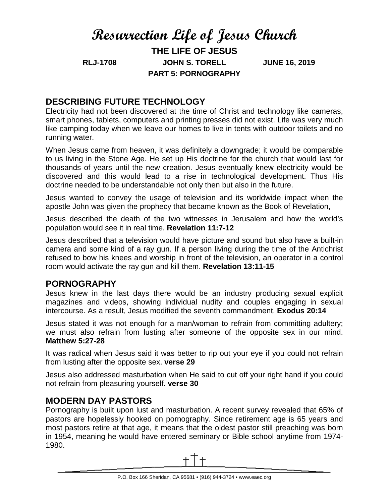# **Resurrection Life of Jesus Church**

**THE LIFE OF JESUS RLJ-1708 JOHN S. TORELL JUNE 16, 2019 PART 5: PORNOGRAPHY**

## **DESCRIBING FUTURE TECHNOLOGY**

Electricity had not been discovered at the time of Christ and technology like cameras, smart phones, tablets, computers and printing presses did not exist. Life was very much like camping today when we leave our homes to live in tents with outdoor toilets and no running water.

When Jesus came from heaven, it was definitely a downgrade; it would be comparable to us living in the Stone Age. He set up His doctrine for the church that would last for thousands of years until the new creation. Jesus eventually knew electricity would be discovered and this would lead to a rise in technological development. Thus His doctrine needed to be understandable not only then but also in the future.

Jesus wanted to convey the usage of television and its worldwide impact when the apostle John was given the prophecy that became known as the Book of Revelation,

Jesus described the death of the two witnesses in Jerusalem and how the world's population would see it in real time. **Revelation 11:7-12**

Jesus described that a television would have picture and sound but also have a built-in camera and some kind of a ray gun. If a person living during the time of the Antichrist refused to bow his knees and worship in front of the television, an operator in a control room would activate the ray gun and kill them. **Revelation 13:11-15**

### **PORNOGRAPHY**

Jesus knew in the last days there would be an industry producing sexual explicit magazines and videos, showing individual nudity and couples engaging in sexual intercourse. As a result, Jesus modified the seventh commandment. **Exodus 20:14**

Jesus stated it was not enough for a man/woman to refrain from committing adultery; we must also refrain from lusting after someone of the opposite sex in our mind. **Matthew 5:27-28**

It was radical when Jesus said it was better to rip out your eye if you could not refrain from lusting after the opposite sex. **verse 29**

Jesus also addressed masturbation when He said to cut off your right hand if you could not refrain from pleasuring yourself. **verse 30**

### **MODERN DAY PASTORS**

Pornography is built upon lust and masturbation. A recent survey revealed that 65% of pastors are hopelessly hooked on pornography. Since retirement age is 65 years and most pastors retire at that age, it means that the oldest pastor still preaching was born in 1954, meaning he would have entered seminary or Bible school anytime from 1974- 1980.